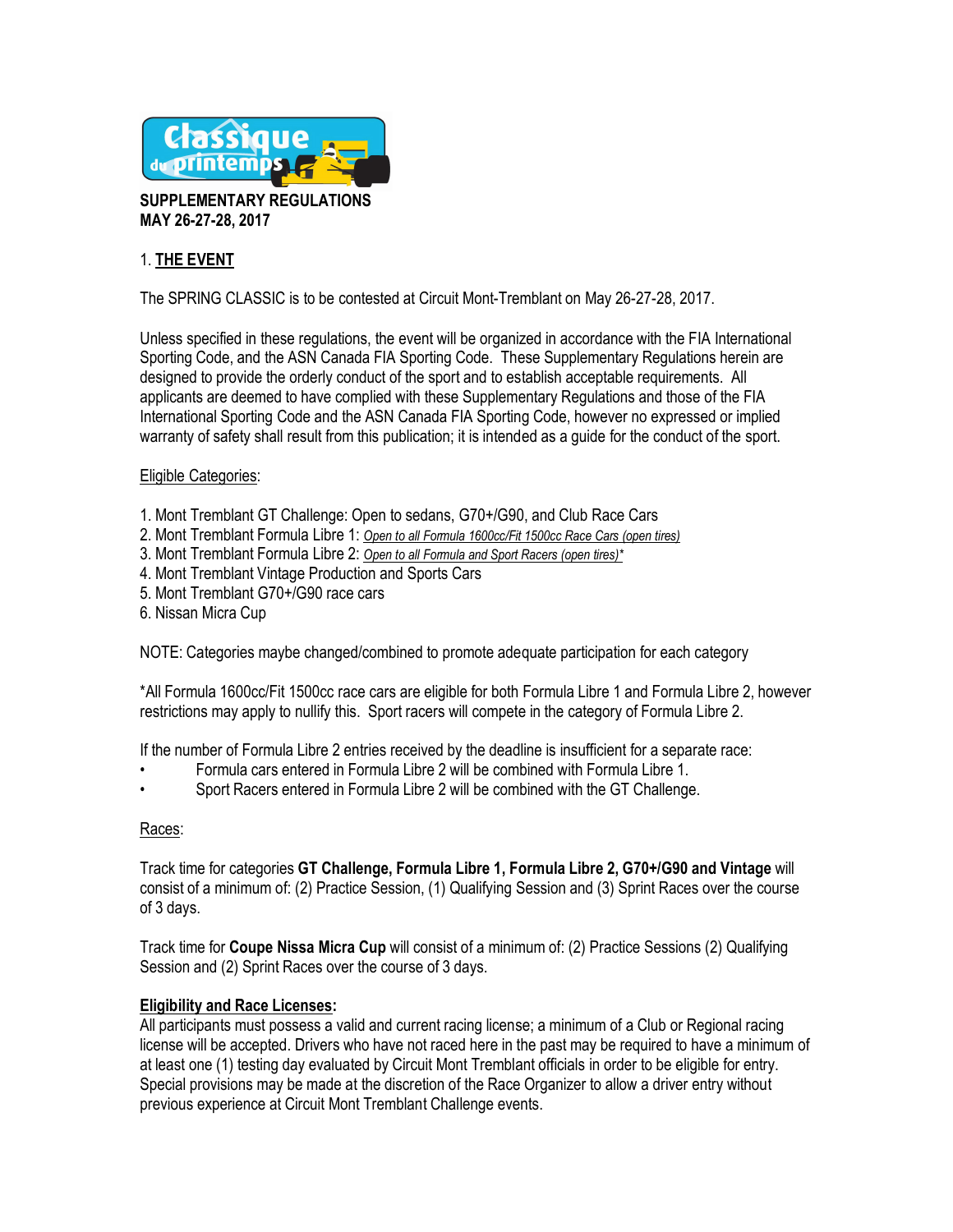

**SUPPLEMENTARY REGULATIONS MAY 26-27-28, 2017**

# 1. **THE EVENT**

The SPRING CLASSIC is to be contested at Circuit Mont-Tremblant on May 26-27-28, 2017.

Unless specified in these regulations, the event will be organized in accordance with the FIA International Sporting Code, and the ASN Canada FIA Sporting Code. These Supplementary Regulations herein are designed to provide the orderly conduct of the sport and to establish acceptable requirements. All applicants are deemed to have complied with these Supplementary Regulations and those of the FIA International Sporting Code and the ASN Canada FIA Sporting Code, however no expressed or implied warranty of safety shall result from this publication; it is intended as a guide for the conduct of the sport.

### Eligible Categories:

- 1. Mont Tremblant GT Challenge: Open to sedans, G70+/G90, and Club Race Cars
- 2. Mont Tremblant Formula Libre 1: *Open to all Formula 1600cc/Fit 1500cc Race Cars (open tires)*
- 3. Mont Tremblant Formula Libre 2: *Open to all Formula and Sport Racers (open tires)\**
- 4. Mont Tremblant Vintage Production and Sports Cars
- 5. Mont Tremblant G70+/G90 race cars
- 6. Nissan Micra Cup

NOTE: Categories maybe changed/combined to promote adequate participation for each category

\*All Formula 1600cc/Fit 1500cc race cars are eligible for both Formula Libre 1 and Formula Libre 2, however restrictions may apply to nullify this. Sport racers will compete in the category of Formula Libre 2.

If the number of Formula Libre 2 entries received by the deadline is insufficient for a separate race:

- Formula cars entered in Formula Libre 2 will be combined with Formula Libre 1.
- Sport Racers entered in Formula Libre 2 will be combined with the GT Challenge.

### Races:

Track time for categories **GT Challenge, Formula Libre 1, Formula Libre 2, G70+/G90 and Vintage** will consist of a minimum of: (2) Practice Session, (1) Qualifying Session and (3) Sprint Races over the course of 3 days.

Track time for **Coupe Nissa Micra Cup** will consist of a minimum of: (2) Practice Sessions (2) Qualifying Session and (2) Sprint Races over the course of 3 days.

### **Eligibility and Race Licenses:**

All participants must possess a valid and current racing license; a minimum of a Club or Regional racing license will be accepted. Drivers who have not raced here in the past may be required to have a minimum of at least one (1) testing day evaluated by Circuit Mont Tremblant officials in order to be eligible for entry. Special provisions may be made at the discretion of the Race Organizer to allow a driver entry without previous experience at Circuit Mont Tremblant Challenge events.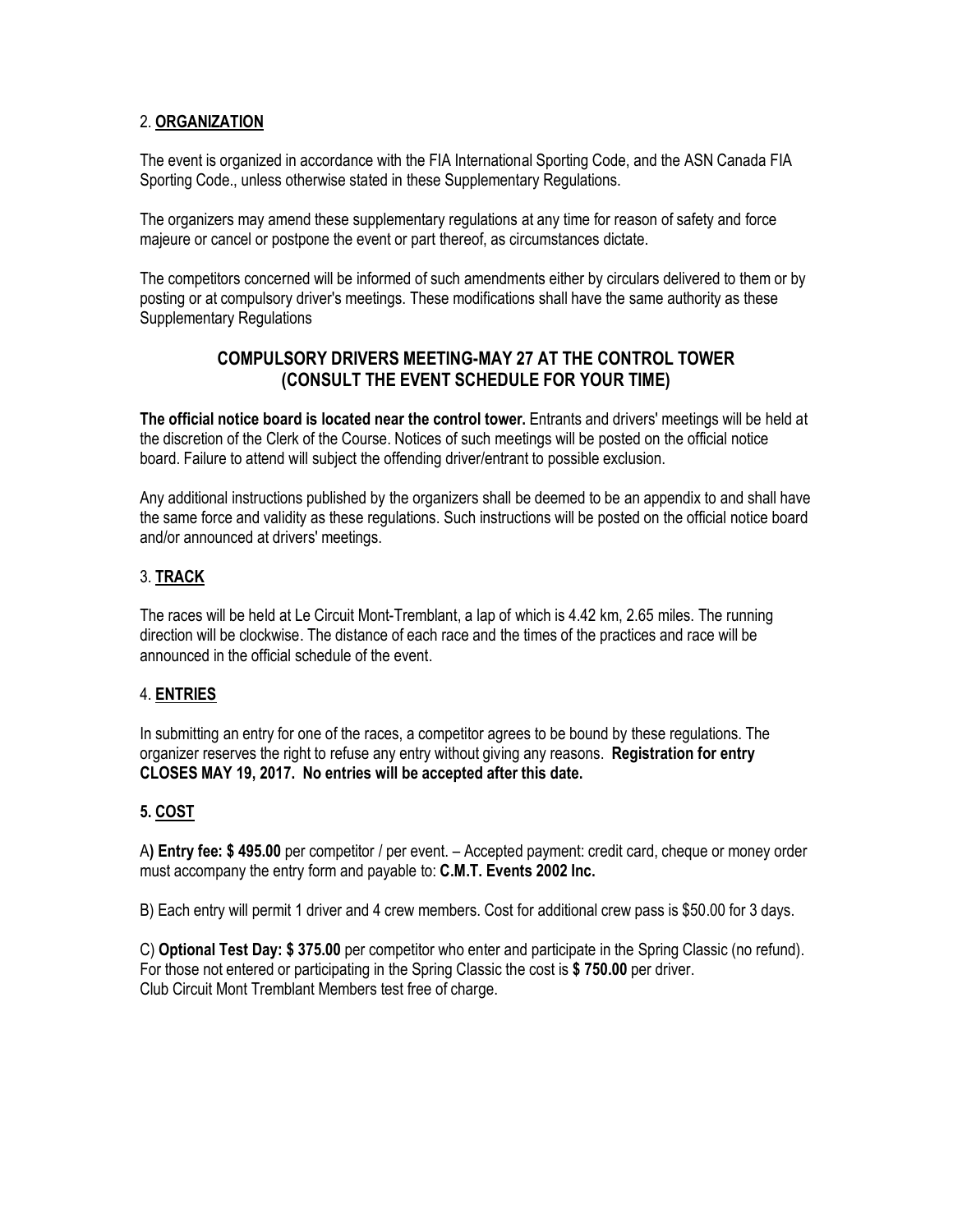## 2. **ORGANIZATION**

The event is organized in accordance with the FIA International Sporting Code, and the ASN Canada FIA Sporting Code., unless otherwise stated in these Supplementary Regulations.

The organizers may amend these supplementary regulations at any time for reason of safety and force majeure or cancel or postpone the event or part thereof, as circumstances dictate.

The competitors concerned will be informed of such amendments either by circulars delivered to them or by posting or at compulsory driver's meetings. These modifications shall have the same authority as these Supplementary Regulations

# **COMPULSORY DRIVERS MEETING-MAY 27 AT THE CONTROL TOWER (CONSULT THE EVENT SCHEDULE FOR YOUR TIME)**

**The official notice board is located near the control tower.** Entrants and drivers' meetings will be held at the discretion of the Clerk of the Course. Notices of such meetings will be posted on the official notice board. Failure to attend will subject the offending driver/entrant to possible exclusion.

Any additional instructions published by the organizers shall be deemed to be an appendix to and shall have the same force and validity as these regulations. Such instructions will be posted on the official notice board and/or announced at drivers' meetings.

## 3. **TRACK**

The races will be held at Le Circuit Mont-Tremblant, a lap of which is 4.42 km, 2.65 miles. The running direction will be clockwise. The distance of each race and the times of the practices and race will be announced in the official schedule of the event.

### 4. **ENTRIES**

In submitting an entry for one of the races, a competitor agrees to be bound by these regulations. The organizer reserves the right to refuse any entry without giving any reasons. **Registration for entry CLOSES MAY 19, 2017. No entries will be accepted after this date.**

### **5. COST**

A**) Entry fee: \$ 495.00** per competitor / per event. – Accepted payment: credit card, cheque or money order must accompany the entry form and payable to: **C.M.T. Events 2002 Inc.**

B) Each entry will permit 1 driver and 4 crew members. Cost for additional crew pass is \$50.00 for 3 days.

C) **Optional Test Day: \$ 375.00** per competitor who enter and participate in the Spring Classic (no refund). For those not entered or participating in the Spring Classic the cost is **\$ 750.00** per driver. Club Circuit Mont Tremblant Members test free of charge.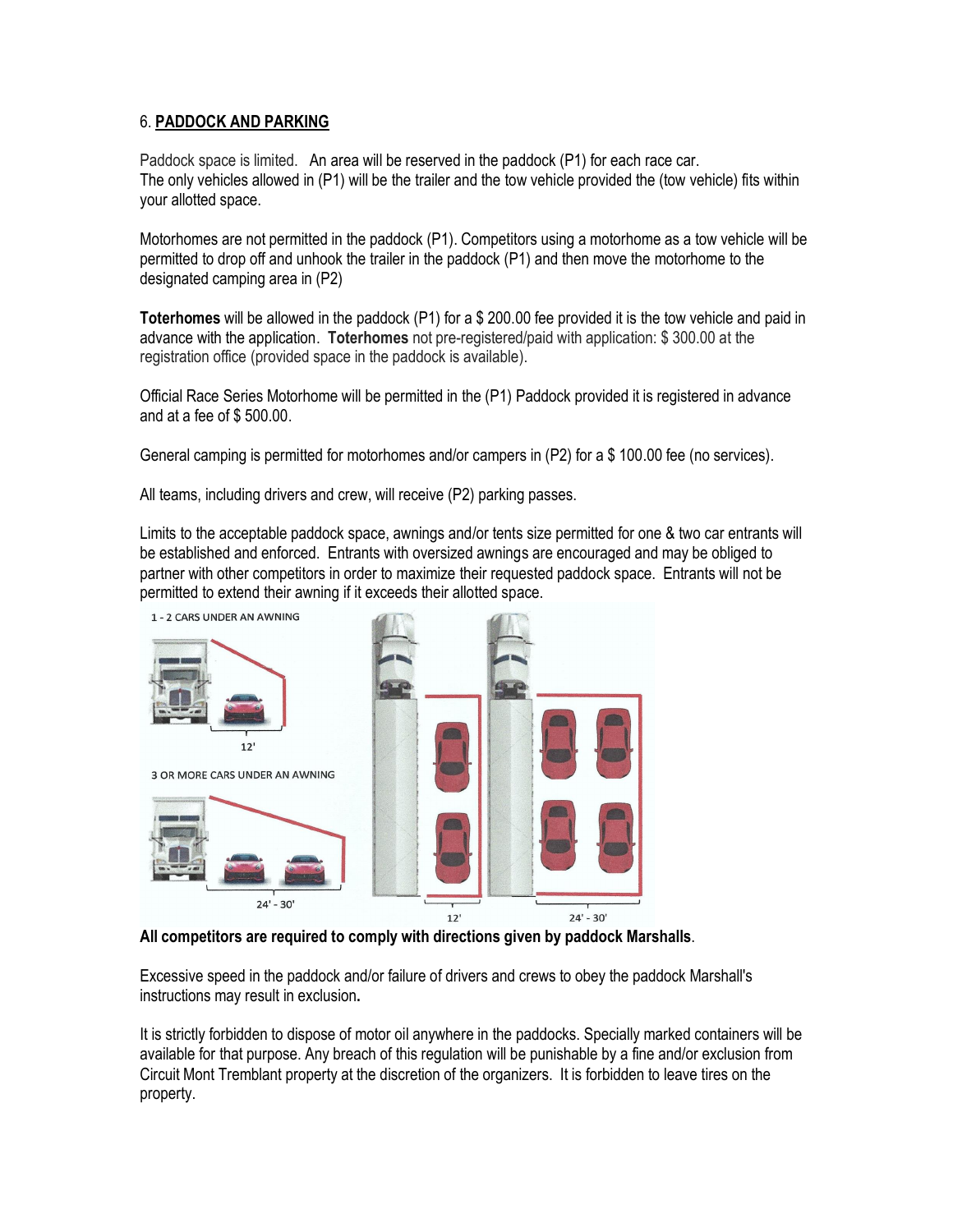## 6. **PADDOCK AND PARKING**

Paddock space is limited. An area will be reserved in the paddock (P1) for each race car. The only vehicles allowed in (P1) will be the trailer and the tow vehicle provided the (tow vehicle) fits within your allotted space.

Motorhomes are not permitted in the paddock (P1). Competitors using a motorhome as a tow vehicle will be permitted to drop off and unhook the trailer in the paddock (P1) and then move the motorhome to the designated camping area in (P2)

**Toterhomes** will be allowed in the paddock (P1) for a \$ 200.00 fee provided it is the tow vehicle and paid in advance with the application. **Toterhomes** not pre-registered/paid with application: \$ 300.00 at the registration office (provided space in the paddock is available).

Official Race Series Motorhome will be permitted in the (P1) Paddock provided it is registered in advance and at a fee of \$ 500.00.

General camping is permitted for motorhomes and/or campers in (P2) for a \$ 100.00 fee (no services).

All teams, including drivers and crew, will receive (P2) parking passes.

Limits to the acceptable paddock space, awnings and/or tents size permitted for one & two car entrants will be established and enforced. Entrants with oversized awnings are encouraged and may be obliged to partner with other competitors in order to maximize their requested paddock space. Entrants will not be permitted to extend their awning if it exceeds their allotted space.



**All competitors are required to comply with directions given by paddock Marshalls**.

Excessive speed in the paddock and/or failure of drivers and crews to obey the paddock Marshall's instructions may result in exclusion**.** 

It is strictly forbidden to dispose of motor oil anywhere in the paddocks. Specially marked containers will be available for that purpose. Any breach of this regulation will be punishable by a fine and/or exclusion from Circuit Mont Tremblant property at the discretion of the organizers. It is forbidden to leave tires on the property.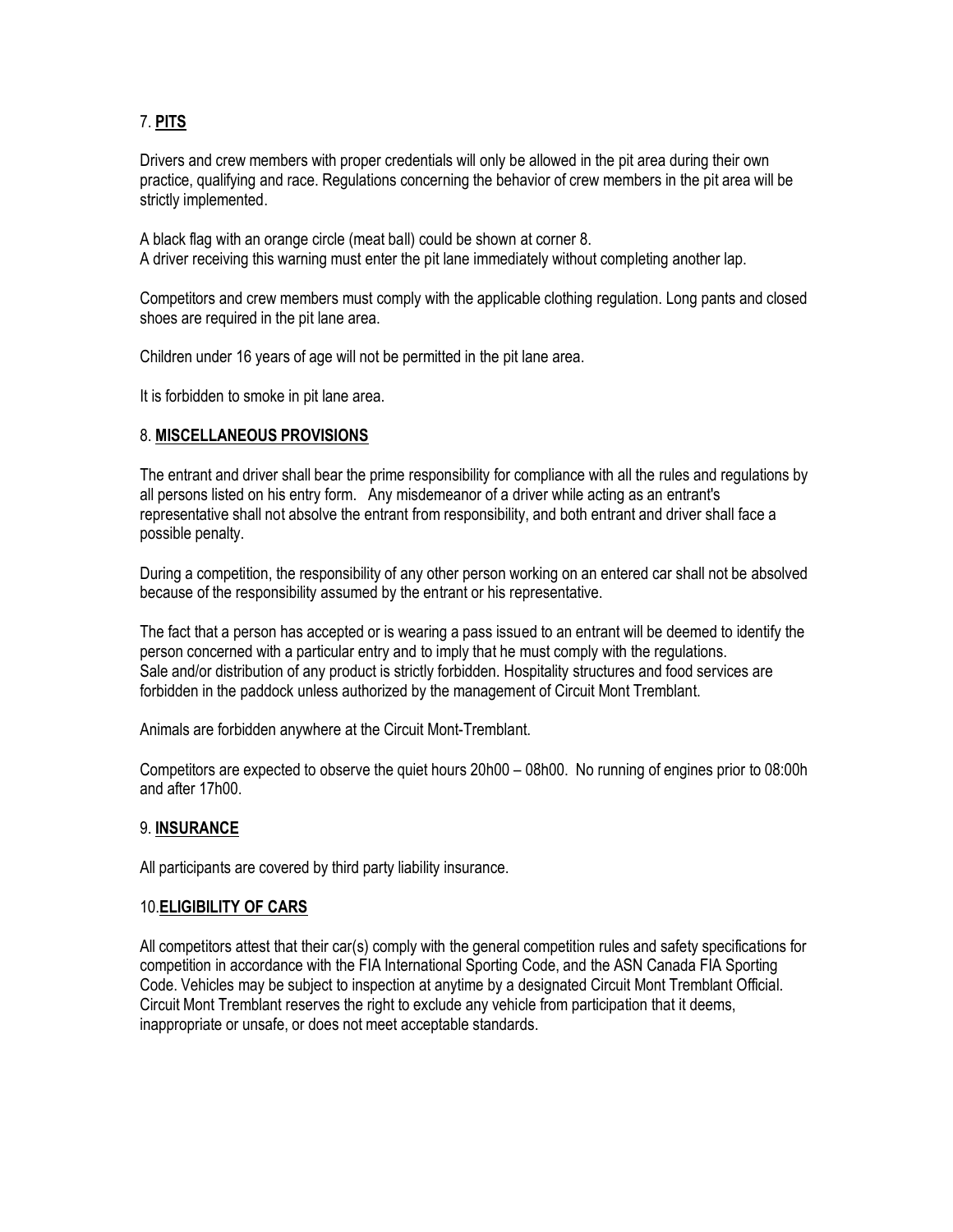# 7. **PITS**

Drivers and crew members with proper credentials will only be allowed in the pit area during their own practice, qualifying and race. Regulations concerning the behavior of crew members in the pit area will be strictly implemented.

A black flag with an orange circle (meat ball) could be shown at corner 8. A driver receiving this warning must enter the pit lane immediately without completing another lap.

Competitors and crew members must comply with the applicable clothing regulation. Long pants and closed shoes are required in the pit lane area.

Children under 16 years of age will not be permitted in the pit lane area.

It is forbidden to smoke in pit lane area.

### 8. **MISCELLANEOUS PROVISIONS**

The entrant and driver shall bear the prime responsibility for compliance with all the rules and regulations by all persons listed on his entry form. Any misdemeanor of a driver while acting as an entrant's representative shall not absolve the entrant from responsibility, and both entrant and driver shall face a possible penalty.

During a competition, the responsibility of any other person working on an entered car shall not be absolved because of the responsibility assumed by the entrant or his representative.

The fact that a person has accepted or is wearing a pass issued to an entrant will be deemed to identify the person concerned with a particular entry and to imply that he must comply with the regulations. Sale and/or distribution of any product is strictly forbidden. Hospitality structures and food services are forbidden in the paddock unless authorized by the management of Circuit Mont Tremblant.

Animals are forbidden anywhere at the Circuit Mont-Tremblant.

Competitors are expected to observe the quiet hours 20h00 – 08h00. No running of engines prior to 08:00h and after 17h00.

### 9. **INSURANCE**

All participants are covered by third party liability insurance.

### 10.**ELIGIBILITY OF CARS**

All competitors attest that their car(s) comply with the general competition rules and safety specifications for competition in accordance with the FIA International Sporting Code, and the ASN Canada FIA Sporting Code. Vehicles may be subject to inspection at anytime by a designated Circuit Mont Tremblant Official. Circuit Mont Tremblant reserves the right to exclude any vehicle from participation that it deems, inappropriate or unsafe, or does not meet acceptable standards.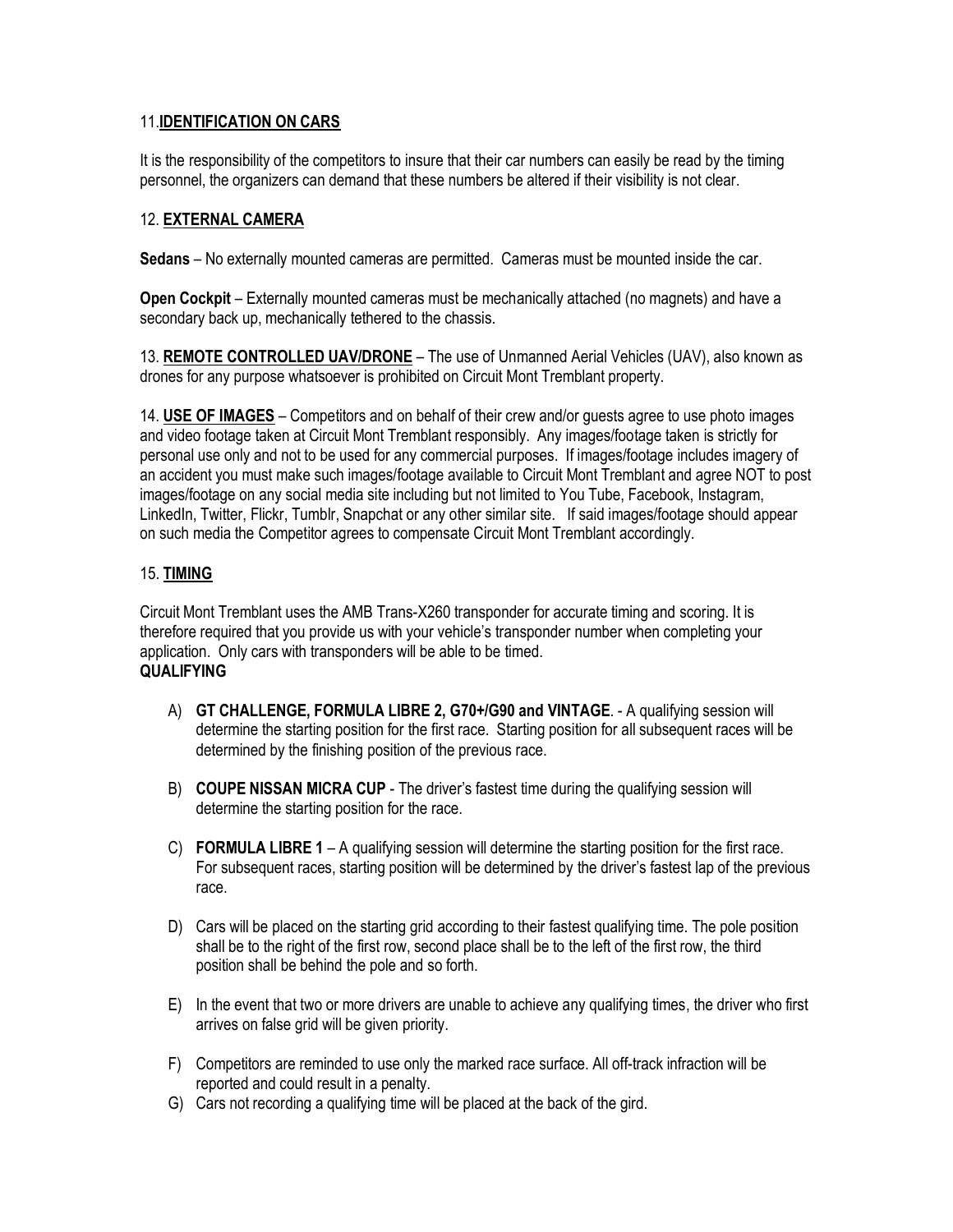## 11.**IDENTIFICATION ON CARS**

It is the responsibility of the competitors to insure that their car numbers can easily be read by the timing personnel, the organizers can demand that these numbers be altered if their visibility is not clear.

## 12. **EXTERNAL CAMERA**

**Sedans** – No externally mounted cameras are permitted. Cameras must be mounted inside the car.

**Open Cockpit** – Externally mounted cameras must be mechanically attached (no magnets) and have a secondary back up, mechanically tethered to the chassis.

13. **REMOTE CONTROLLED UAV/DRONE** – The use of Unmanned Aerial Vehicles (UAV), also known as drones for any purpose whatsoever is prohibited on Circuit Mont Tremblant property.

14. **USE OF IMAGES** – Competitors and on behalf of their crew and/or guests agree to use photo images and video footage taken at Circuit Mont Tremblant responsibly. Any images/footage taken is strictly for personal use only and not to be used for any commercial purposes. If images/footage includes imagery of an accident you must make such images/footage available to Circuit Mont Tremblant and agree NOT to post images/footage on any social media site including but not limited to You Tube, Facebook, Instagram, LinkedIn, Twitter, Flickr, Tumblr, Snapchat or any other similar site. If said images/footage should appear on such media the Competitor agrees to compensate Circuit Mont Tremblant accordingly.

## 15. **TIMING**

Circuit Mont Tremblant uses the AMB Trans-X260 transponder for accurate timing and scoring. It is therefore required that you provide us with your vehicle's transponder number when completing your application. Only cars with transponders will be able to be timed. **QUALIFYING**

- A) **GT CHALLENGE, FORMULA LIBRE 2, G70+/G90 and VINTAGE**. A qualifying session will determine the starting position for the first race. Starting position for all subsequent races will be determined by the finishing position of the previous race.
- B) **COUPE NISSAN MICRA CUP** The driver's fastest time during the qualifying session will determine the starting position for the race.
- C) **FORMULA LIBRE 1** A qualifying session will determine the starting position for the first race. For subsequent races, starting position will be determined by the driver's fastest lap of the previous race.
- D) Cars will be placed on the starting grid according to their fastest qualifying time. The pole position shall be to the right of the first row, second place shall be to the left of the first row, the third position shall be behind the pole and so forth.
- E) In the event that two or more drivers are unable to achieve any qualifying times, the driver who first arrives on false grid will be given priority.
- F) Competitors are reminded to use only the marked race surface. All off-track infraction will be reported and could result in a penalty.
- G) Cars not recording a qualifying time will be placed at the back of the gird.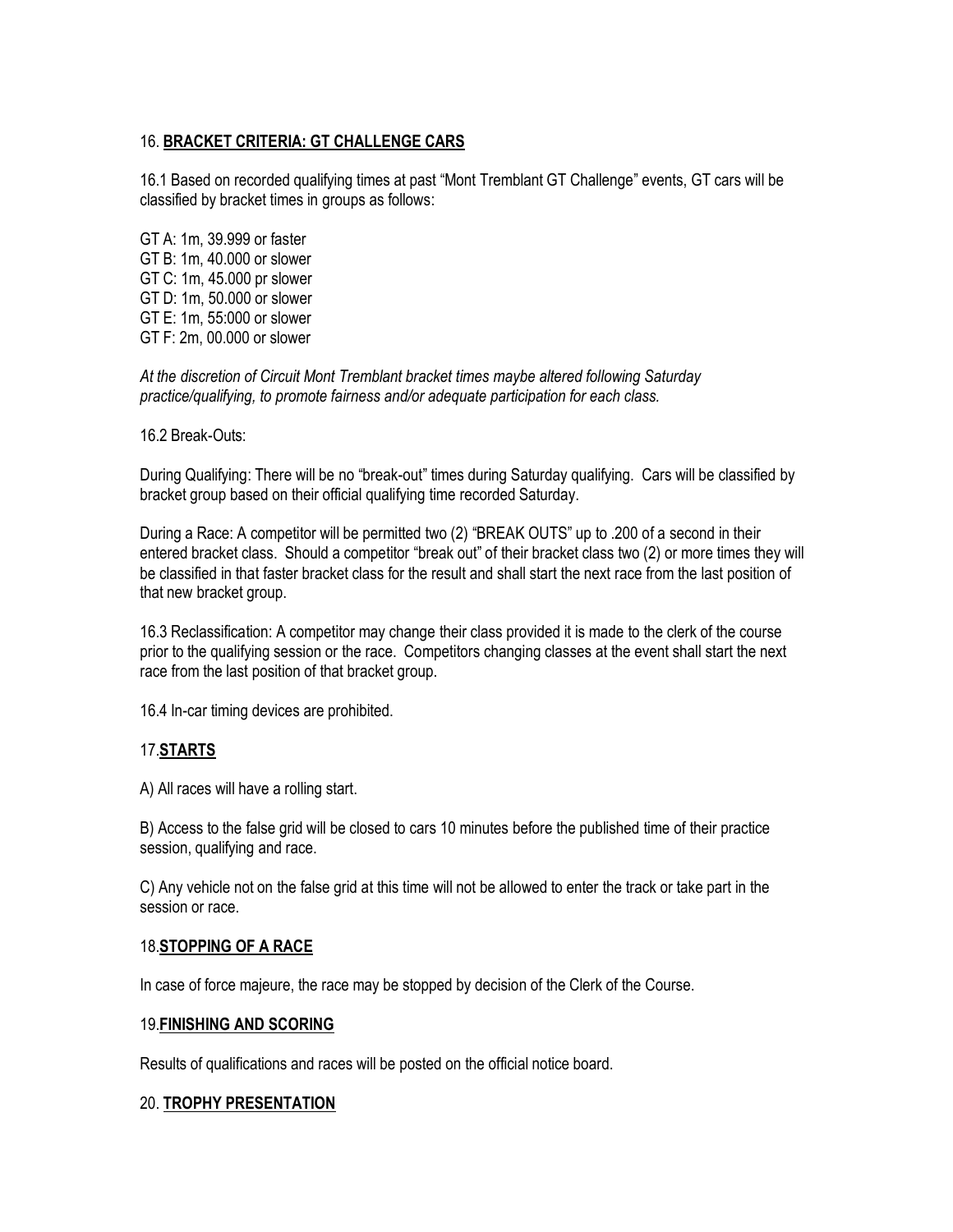## 16. **BRACKET CRITERIA: GT CHALLENGE CARS**

16.1 Based on recorded qualifying times at past "Mont Tremblant GT Challenge" events, GT cars will be classified by bracket times in groups as follows:

GT A: 1m, 39.999 or faster GT B: 1m, 40.000 or slower GT C: 1m, 45.000 pr slower GT D: 1m, 50.000 or slower GT E: 1m, 55:000 or slower GT F: 2m, 00.000 or slower

*At the discretion of Circuit Mont Tremblant bracket times maybe altered following Saturday practice/qualifying, to promote fairness and/or adequate participation for each class.*

16.2 Break-Outs:

During Qualifying: There will be no "break-out" times during Saturday qualifying. Cars will be classified by bracket group based on their official qualifying time recorded Saturday.

During a Race: A competitor will be permitted two (2) "BREAK OUTS" up to .200 of a second in their entered bracket class. Should a competitor "break out" of their bracket class two (2) or more times they will be classified in that faster bracket class for the result and shall start the next race from the last position of that new bracket group.

16.3 Reclassification: A competitor may change their class provided it is made to the clerk of the course prior to the qualifying session or the race. Competitors changing classes at the event shall start the next race from the last position of that bracket group.

16.4 In-car timing devices are prohibited.

### 17.**STARTS**

A) All races will have a rolling start.

B) Access to the false grid will be closed to cars 10 minutes before the published time of their practice session, qualifying and race.

C) Any vehicle not on the false grid at this time will not be allowed to enter the track or take part in the session or race.

### 18.**STOPPING OF A RACE**

In case of force majeure, the race may be stopped by decision of the Clerk of the Course.

#### 19.**FINISHING AND SCORING**

Results of qualifications and races will be posted on the official notice board.

### 20. **TROPHY PRESENTATION**